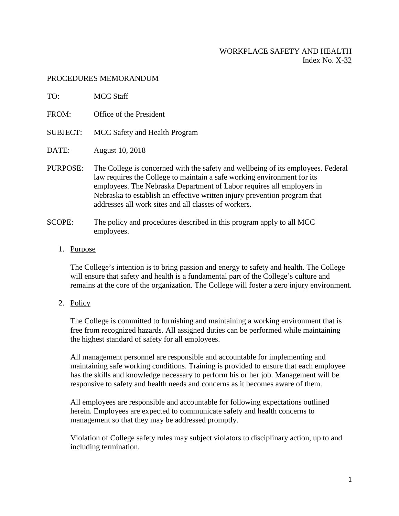# WORKPLACE SAFETY AND HEALTH Index No. X-32

# PROCEDURES MEMORANDUM

| TO:             | <b>MCC Staff</b>                                                                                                                                                                                                                                                                                                                                                          |
|-----------------|---------------------------------------------------------------------------------------------------------------------------------------------------------------------------------------------------------------------------------------------------------------------------------------------------------------------------------------------------------------------------|
| FROM:           | Office of the President                                                                                                                                                                                                                                                                                                                                                   |
| <b>SUBJECT:</b> | MCC Safety and Health Program                                                                                                                                                                                                                                                                                                                                             |
| DATE:           | August 10, 2018                                                                                                                                                                                                                                                                                                                                                           |
| PURPOSE:        | The College is concerned with the safety and wellbeing of its employees. Federal<br>law requires the College to maintain a safe working environment for its<br>employees. The Nebraska Department of Labor requires all employers in<br>Nebraska to establish an effective written injury prevention program that<br>addresses all work sites and all classes of workers. |
| <b>SCOPE:</b>   | The policy and procedures described in this program apply to all MCC<br>employees.                                                                                                                                                                                                                                                                                        |

### 1. Purpose

The College's intention is to bring passion and energy to safety and health. The College will ensure that safety and health is a fundamental part of the College's culture and remains at the core of the organization. The College will foster a zero injury environment.

2. Policy

The College is committed to furnishing and maintaining a working environment that is free from recognized hazards. All assigned duties can be performed while maintaining the highest standard of safety for all employees.

All management personnel are responsible and accountable for implementing and maintaining safe working conditions. Training is provided to ensure that each employee has the skills and knowledge necessary to perform his or her job. Management will be responsive to safety and health needs and concerns as it becomes aware of them.

All employees are responsible and accountable for following expectations outlined herein. Employees are expected to communicate safety and health concerns to management so that they may be addressed promptly.

Violation of College safety rules may subject violators to disciplinary action, up to and including termination.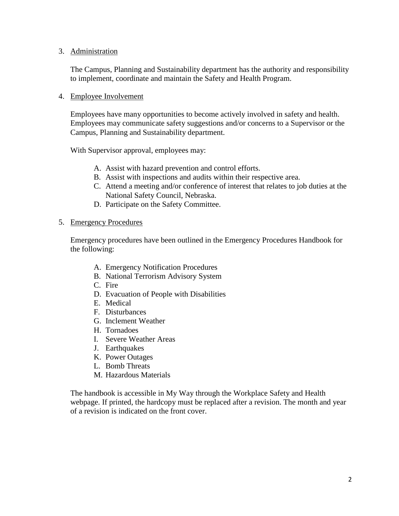## 3. Administration

The Campus, Planning and Sustainability department has the authority and responsibility to implement, coordinate and maintain the Safety and Health Program.

## 4. Employee Involvement

Employees have many opportunities to become actively involved in safety and health. Employees may communicate safety suggestions and/or concerns to a Supervisor or the Campus, Planning and Sustainability department.

With Supervisor approval, employees may:

- A. Assist with hazard prevention and control efforts.
- B. Assist with inspections and audits within their respective area.
- C. Attend a meeting and/or conference of interest that relates to job duties at the National Safety Council, Nebraska.
- D. Participate on the Safety Committee.

### 5. Emergency Procedures

Emergency procedures have been outlined in the Emergency Procedures Handbook for the following:

- A. Emergency Notification Procedures
- B. National Terrorism Advisory System
- C. Fire
- D. Evacuation of People with Disabilities
- E. Medical
- F. Disturbances
- G. Inclement Weather
- H. Tornadoes
- I. Severe Weather Areas
- J. Earthquakes
- K. Power Outages
- L. Bomb Threats
- M. Hazardous Materials

The handbook is accessible in My Way through the Workplace Safety and Health webpage. If printed, the hardcopy must be replaced after a revision. The month and year of a revision is indicated on the front cover.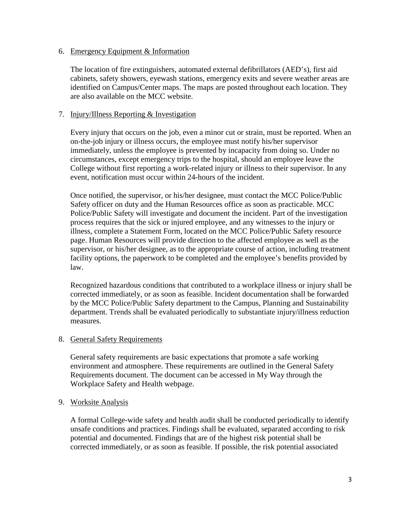### 6. Emergency Equipment & Information

The location of fire extinguishers, automated external defibrillators (AED's), first aid cabinets, safety showers, eyewash stations, emergency exits and severe weather areas are identified on Campus/Center maps. The maps are posted throughout each location. They are also available on the MCC website.

## 7. Injury/Illness Reporting & Investigation

Every injury that occurs on the job, even a minor cut or strain, must be reported. When an on-the-job injury or illness occurs, the employee must notify his/her supervisor immediately, unless the employee is prevented by incapacity from doing so. Under no circumstances, except emergency trips to the hospital, should an employee leave the College without first reporting a work-related injury or illness to their supervisor. In any event, notification must occur within 24-hours of the incident.

Once notified, the supervisor, or his/her designee, must contact the MCC Police/Public Safety officer on duty and the Human Resources office as soon as practicable. MCC Police/Public Safety will investigate and document the incident. Part of the investigation process requires that the sick or injured employee, and any witnesses to the injury or illness, complete a Statement Form, located on the MCC Police/Public Safety resource page. Human Resources will provide direction to the affected employee as well as the supervisor, or his/her designee, as to the appropriate course of action, including treatment facility options, the paperwork to be completed and the employee's benefits provided by law.

Recognized hazardous conditions that contributed to a workplace illness or injury shall be corrected immediately, or as soon as feasible. Incident documentation shall be forwarded by the MCC Police/Public Safety department to the Campus, Planning and Sustainability department. Trends shall be evaluated periodically to substantiate injury/illness reduction measures.

#### 8. General Safety Requirements

General safety requirements are basic expectations that promote a safe working environment and atmosphere. These requirements are outlined in the General Safety Requirements document. The document can be accessed in My Way through the Workplace Safety and Health webpage.

### 9. Worksite Analysis

A formal College-wide safety and health audit shall be conducted periodically to identify unsafe conditions and practices. Findings shall be evaluated, separated according to risk potential and documented. Findings that are of the highest risk potential shall be corrected immediately, or as soon as feasible. If possible, the risk potential associated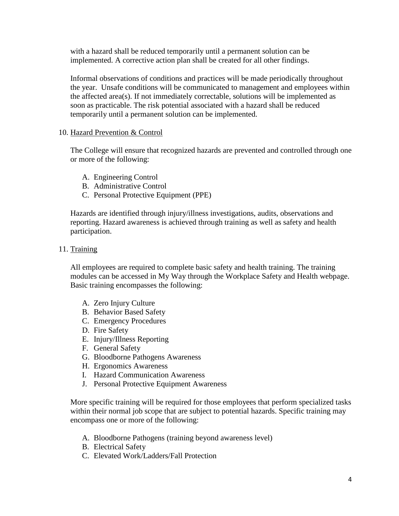with a hazard shall be reduced temporarily until a permanent solution can be implemented. A corrective action plan shall be created for all other findings.

Informal observations of conditions and practices will be made periodically throughout the year. Unsafe conditions will be communicated to management and employees within the affected area(s). If not immediately correctable, solutions will be implemented as soon as practicable. The risk potential associated with a hazard shall be reduced temporarily until a permanent solution can be implemented.

# 10. Hazard Prevention & Control

The College will ensure that recognized hazards are prevented and controlled through one or more of the following:

- A. Engineering Control
- B. Administrative Control
- C. Personal Protective Equipment (PPE)

Hazards are identified through injury/illness investigations, audits, observations and reporting. Hazard awareness is achieved through training as well as safety and health participation.

## 11. Training

All employees are required to complete basic safety and health training. The training modules can be accessed in My Way through the Workplace Safety and Health webpage. Basic training encompasses the following:

- A. Zero Injury Culture
- B. Behavior Based Safety
- C. Emergency Procedures
- D. Fire Safety
- E. Injury/Illness Reporting
- F. General Safety
- G. Bloodborne Pathogens Awareness
- H. Ergonomics Awareness
- I. Hazard Communication Awareness
- J. Personal Protective Equipment Awareness

More specific training will be required for those employees that perform specialized tasks within their normal job scope that are subject to potential hazards. Specific training may encompass one or more of the following:

- A. Bloodborne Pathogens (training beyond awareness level)
- B. Electrical Safety
- C. Elevated Work/Ladders/Fall Protection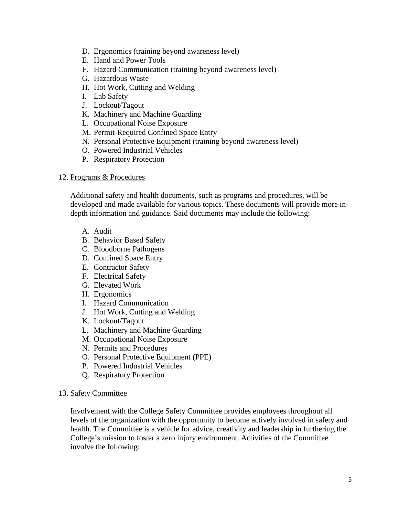- D. Ergonomics (training beyond awareness level)
- E. Hand and Power Tools
- F. Hazard Communication (training beyond awareness level)
- G. Hazardous Waste
- H. Hot Work, Cutting and Welding
- I. Lab Safety
- J. Lockout/Tagout
- K. Machinery and Machine Guarding
- L. Occupational Noise Exposure
- M. Permit-Required Confined Space Entry
- N. Personal Protective Equipment (training beyond awareness level)
- O. Powered Industrial Vehicles
- P. Respiratory Protection

#### 12. Programs & Procedures

Additional safety and health documents, such as programs and procedures, will be developed and made available for various topics. These documents will provide more indepth information and guidance. Said documents may include the following:

- A. Audit
- B. Behavior Based Safety
- C. Bloodborne Pathogens
- D. Confined Space Entry
- E. Contractor Safety
- F. Electrical Safety
- G. Elevated Work
- H. Ergonomics
- I. Hazard Communication
- J. Hot Work, Cutting and Welding
- K. Lockout/Tagout
- L. Machinery and Machine Guarding
- M. Occupational Noise Exposure
- N. Permits and Procedures
- O. Personal Protective Equipment (PPE)
- P. Powered Industrial Vehicles
- Q. Respiratory Protection

#### 13. Safety Committee

Involvement with the College Safety Committee provides employees throughout all levels of the organization with the opportunity to become actively involved in safety and health. The Committee is a vehicle for advice, creativity and leadership in furthering the College's mission to foster a zero injury environment. Activities of the Committee involve the following: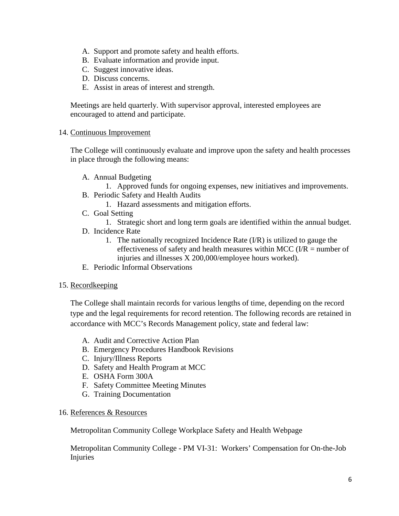- A. Support and promote safety and health efforts.
- B. Evaluate information and provide input.
- C. Suggest innovative ideas.
- D. Discuss concerns.
- E. Assist in areas of interest and strength.

Meetings are held quarterly. With supervisor approval, interested employees are encouraged to attend and participate.

# 14. Continuous Improvement

The College will continuously evaluate and improve upon the safety and health processes in place through the following means:

- A. Annual Budgeting
	- 1. Approved funds for ongoing expenses, new initiatives and improvements.
- B. Periodic Safety and Health Audits
	- 1. Hazard assessments and mitigation efforts.
- C. Goal Setting
	- 1. Strategic short and long term goals are identified within the annual budget.
- D. Incidence Rate
	- 1. The nationally recognized Incidence Rate (I/R) is utilized to gauge the effectiveness of safety and health measures within MCC ( $I/R$  = number of injuries and illnesses X 200,000/employee hours worked).
- E. Periodic Informal Observations

# 15. Recordkeeping

The College shall maintain records for various lengths of time, depending on the record type and the legal requirements for record retention. The following records are retained in accordance with MCC's Records Management policy, state and federal law:

- A. Audit and Corrective Action Plan
- B. Emergency Procedures Handbook Revisions
- C. Injury/Illness Reports
- D. Safety and Health Program at MCC
- E. OSHA Form 300A
- F. Safety Committee Meeting Minutes
- G. Training Documentation

# 16. References & Resources

Metropolitan Community College Workplace Safety and Health Webpage

Metropolitan Community College - PM VI-31: Workers' Compensation for On-the-Job Injuries